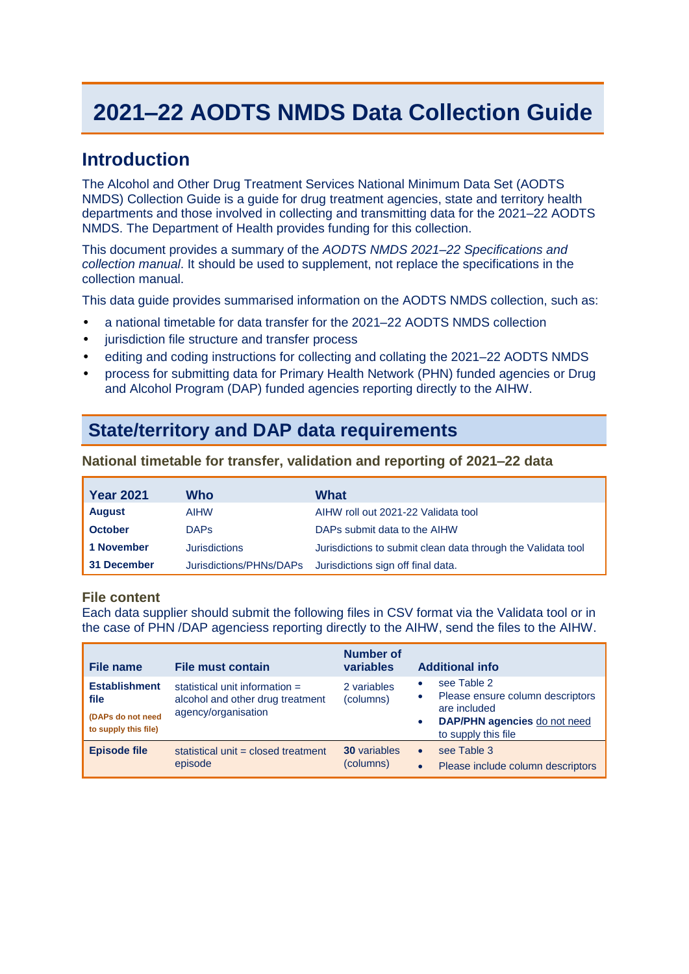# **2021–22 AODTS NMDS Data Collection Guide**

## **Introduction**

The Alcohol and Other Drug Treatment Services National Minimum Data Set (AODTS NMDS) Collection Guide is a guide for drug treatment agencies, state and territory health departments and those involved in collecting and transmitting data for the 2021–22 AODTS NMDS. The Department of Health provides funding for this collection.

This document provides a summary of the *AODTS NMDS 2021–22 Specifications and collection manual*. It should be used to supplement, not replace the specifications in the collection manual.

This data guide provides summarised information on the AODTS NMDS collection, such as:

- a national timetable for data transfer for the 2021*–*22 AODTS NMDS collection
- jurisdiction file structure and transfer process
- editing and coding instructions for collecting and collating the 2021*–*22 AODTS NMDS
- process for submitting data for Primary Health Network (PHN) funded agencies or Drug and Alcohol Program (DAP) funded agencies reporting directly to the AIHW.

# **State/territory and DAP data requirements**

#### **National timetable for transfer, validation and reporting of 2021–22 data**

| <b>Year 2021</b> | Who                  | What                                                         |
|------------------|----------------------|--------------------------------------------------------------|
| <b>August</b>    | <b>AIHW</b>          | AIHW roll out 2021-22 Validata tool                          |
| <b>October</b>   | <b>DAPS</b>          | DAPs submit data to the AIHW                                 |
| 1 November       | <b>Jurisdictions</b> | Jurisdictions to submit clean data through the Validata tool |
| 31 December      |                      | Jurisdictions/PHNs/DAPs Jurisdictions sign off final data.   |

#### **File content**

Each data supplier should submit the following files in CSV format via the Validata tool or in the case of PHN /DAP agenciess reporting directly to the AIHW, send the files to the AIHW.

| File name                                                                 | File must contain                                                                           | Number of<br>variables           | <b>Additional info</b>                                                                                                                                  |
|---------------------------------------------------------------------------|---------------------------------------------------------------------------------------------|----------------------------------|---------------------------------------------------------------------------------------------------------------------------------------------------------|
| <b>Establishment</b><br>file<br>(DAPs do not need<br>to supply this file) | statistical unit information $=$<br>alcohol and other drug treatment<br>agency/organisation | 2 variables<br>(columns)         | see Table 2<br>Please ensure column descriptors<br>$\bullet$<br>are included<br><b>DAP/PHN agencies</b> do not need<br>$\bullet$<br>to supply this file |
| <b>Episode file</b>                                                       | statistical unit = closed treatment<br>episode                                              | <b>30</b> variables<br>(columns) | see Table 3<br>$\bullet$<br>Please include column descriptors                                                                                           |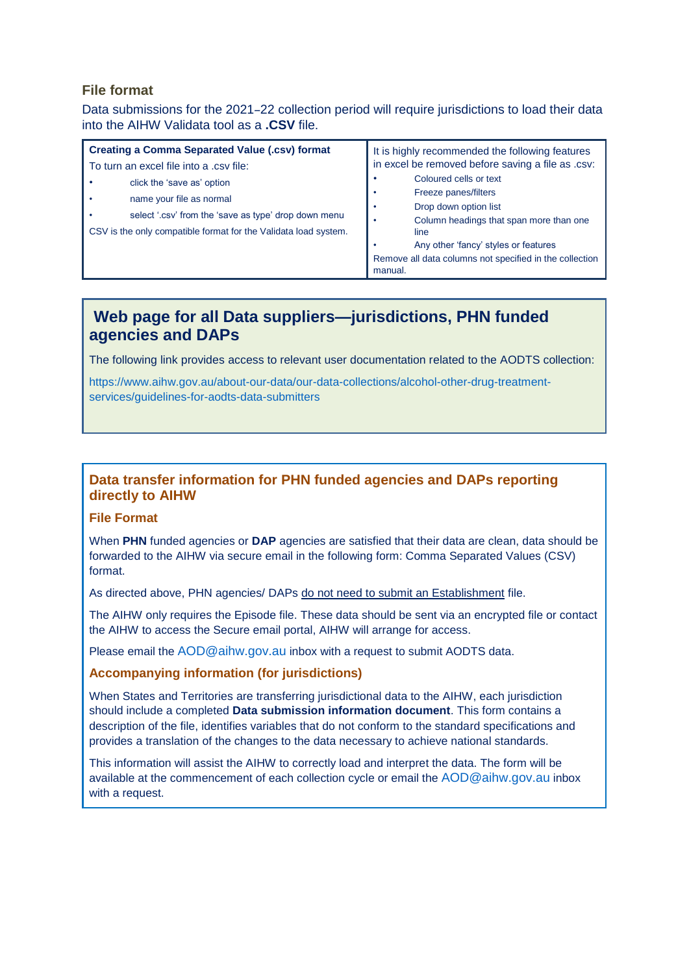## **File format**

Data submissions for the 2021–22 collection period will require jurisdictions to load their data into the AIHW Validata tool as a **.CSV** file.

| <b>Creating a Comma Separated Value (.csv) format</b>           | It is highly recommended the following features<br>in excel be removed before saving a file as .csv: |  |
|-----------------------------------------------------------------|------------------------------------------------------------------------------------------------------|--|
| To turn an excel file into a .csv file:                         |                                                                                                      |  |
| click the 'save as' option                                      | Coloured cells or text                                                                               |  |
| name your file as normal                                        | Freeze panes/filters                                                                                 |  |
| select '.csv' from the 'save as type' drop down menu            | Drop down option list<br>$\bullet$                                                                   |  |
|                                                                 | Column headings that span more than one                                                              |  |
| CSV is the only compatible format for the Validata load system. | line                                                                                                 |  |
|                                                                 | Any other 'fancy' styles or features                                                                 |  |
|                                                                 | Remove all data columns not specified in the collection<br>manual.                                   |  |

## **Web page for all Data suppliers—jurisdictions, PHN funded agencies and DAPs**

The following link provides access to relevant user documentation related to the AODTS collection:

[https://www.aihw.gov.au/about-our-data/our-data-collections/alcohol-other-drug-treatment](https://www.aihw.gov.au/about-our-data/our-data-collections/alcohol-other-drug-treatment-services/guidelines-for-aodts-data-submitters)[services/guidelines-for-aodts-data-submitters](https://www.aihw.gov.au/about-our-data/our-data-collections/alcohol-other-drug-treatment-services/guidelines-for-aodts-data-submitters)

## **Data transfer information for PHN funded agencies and DAPs reporting directly to AIHW**

#### **File Format**

When **PHN** funded agencies or **DAP** agencies are satisfied that their data are clean, data should be forwarded to the AIHW via secure email in the following form: Comma Separated Values (CSV) format.

As directed above, PHN agencies/ DAPs do not need to submit an Establishment file.

The AIHW only requires the Episode file. These data should be sent via an encrypted file or contact the AIHW to access the Secure email portal, AIHW will arrange for access.

Please email the [AOD@aihw.gov.au](mailto:AOD@aihw.gov.au) inbox with a request to submit AODTS data.

#### **Accompanying information (for jurisdictions)**

When States and Territories are transferring jurisdictional data to the AIHW, each jurisdiction should include a completed **Data submission information document**. This form contains a description of the file, identifies variables that do not conform to the standard specifications and provides a translation of the changes to the data necessary to achieve national standards.

This information will assist the AIHW to correctly load and interpret the data. The form will be available at the commencement of each collection cycle or email the [AOD@aihw.gov.au](mailto:AOD@aihw.gov.au) inbox with a request.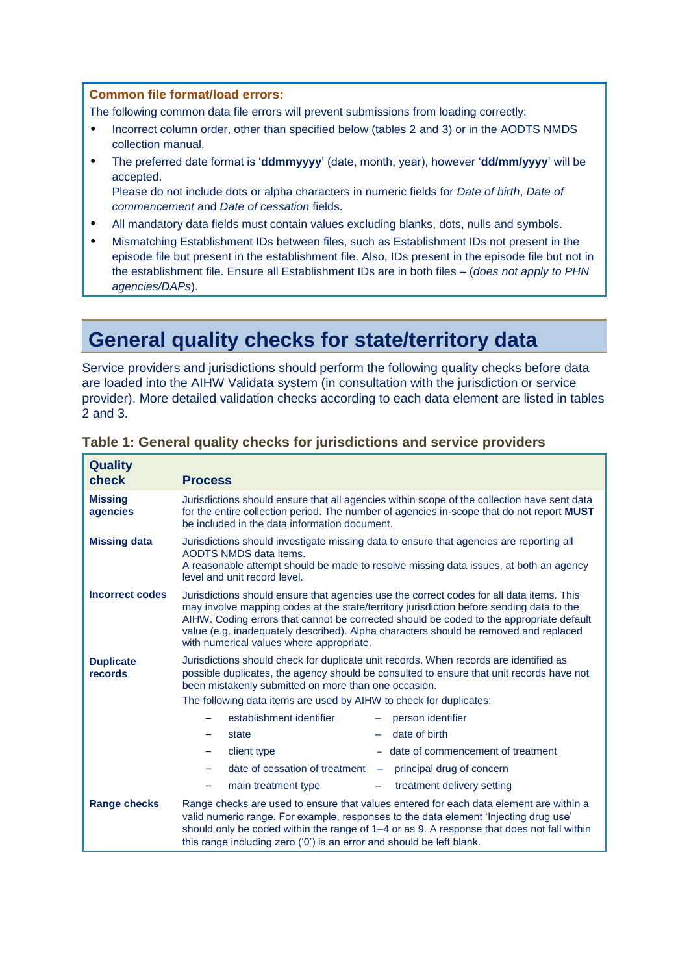#### **Common file format/load errors:**

The following common data file errors will prevent submissions from loading correctly:

- Incorrect column order, other than specified below (tables 2 and 3) or in the AODTS NMDS collection manual.
- The preferred date format is '**ddmmyyyy**' (date, month, year), however '**dd/mm/yyyy**' will be accepted. Please do not include dots or alpha characters in numeric fields for *Date of birth*, *Date of*

*commencement* and *Date of cessation* fields.

- All mandatory data fields must contain values excluding blanks, dots, nulls and symbols.
- Mismatching Establishment IDs between files, such as Establishment IDs not present in the episode file but present in the establishment file. Also, IDs present in the episode file but not in the establishment file. Ensure all Establishment IDs are in both files – (*does not apply to PHN agencies/DAPs*).

# **General quality checks for state/territory data**

Service providers and jurisdictions should perform the following quality checks before data are loaded into the AIHW Validata system (in consultation with the jurisdiction or service provider). More detailed validation checks according to each data element are listed in tables 2 and 3.

| <b>Quality</b><br>check     | <b>Process</b>                                                                                                                                                                                                                                                                                                                                                                                                                                                                                                                                                                                   |  |  |  |
|-----------------------------|--------------------------------------------------------------------------------------------------------------------------------------------------------------------------------------------------------------------------------------------------------------------------------------------------------------------------------------------------------------------------------------------------------------------------------------------------------------------------------------------------------------------------------------------------------------------------------------------------|--|--|--|
| <b>Missing</b><br>agencies  | Jurisdictions should ensure that all agencies within scope of the collection have sent data<br>for the entire collection period. The number of agencies in-scope that do not report <b>MUST</b><br>be included in the data information document.                                                                                                                                                                                                                                                                                                                                                 |  |  |  |
| <b>Missing data</b>         | Jurisdictions should investigate missing data to ensure that agencies are reporting all<br>AODTS NMDS data items.<br>A reasonable attempt should be made to resolve missing data issues, at both an agency<br>level and unit record level.                                                                                                                                                                                                                                                                                                                                                       |  |  |  |
| Incorrect codes             | Jurisdictions should ensure that agencies use the correct codes for all data items. This<br>may involve mapping codes at the state/territory jurisdiction before sending data to the<br>AIHW. Coding errors that cannot be corrected should be coded to the appropriate default<br>value (e.g. inadequately described). Alpha characters should be removed and replaced<br>with numerical values where appropriate.                                                                                                                                                                              |  |  |  |
| <b>Duplicate</b><br>records | Jurisdictions should check for duplicate unit records. When records are identified as<br>possible duplicates, the agency should be consulted to ensure that unit records have not<br>been mistakenly submitted on more than one occasion.<br>The following data items are used by AIHW to check for duplicates:<br>establishment identifier<br>person identifier<br>date of birth<br>state<br>- date of commencement of treatment<br>client type<br>date of cessation of treatment<br>principal drug of concern<br>$\overline{\phantom{m}}$<br>treatment delivery setting<br>main treatment type |  |  |  |
| Range checks                | Range checks are used to ensure that values entered for each data element are within a<br>valid numeric range. For example, responses to the data element 'Injecting drug use'<br>should only be coded within the range of 1-4 or as 9. A response that does not fall within<br>this range including zero ('0') is an error and should be left blank.                                                                                                                                                                                                                                            |  |  |  |

### **Table 1: General quality checks for jurisdictions and service providers**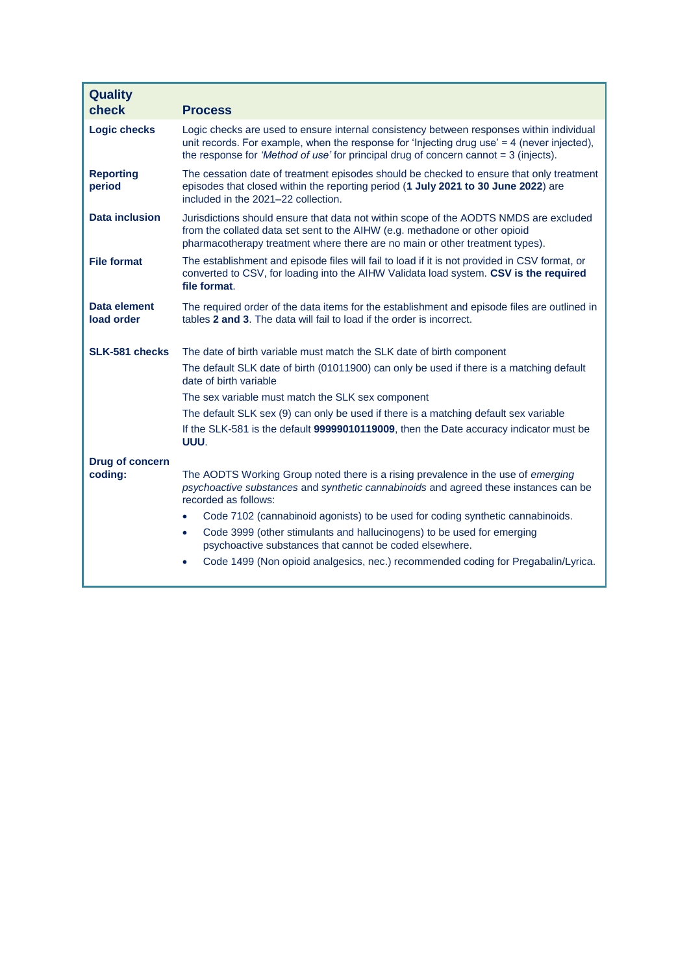| <b>Quality</b><br>check           | <b>Process</b>                                                                                                                                                                                                                                                                    |
|-----------------------------------|-----------------------------------------------------------------------------------------------------------------------------------------------------------------------------------------------------------------------------------------------------------------------------------|
| <b>Logic checks</b>               | Logic checks are used to ensure internal consistency between responses within individual<br>unit records. For example, when the response for 'Injecting drug use' = 4 (never injected),<br>the response for 'Method of use' for principal drug of concern cannot $=$ 3 (injects). |
| <b>Reporting</b><br>period        | The cessation date of treatment episodes should be checked to ensure that only treatment<br>episodes that closed within the reporting period (1 July 2021 to 30 June 2022) are<br>included in the 2021-22 collection.                                                             |
| <b>Data inclusion</b>             | Jurisdictions should ensure that data not within scope of the AODTS NMDS are excluded<br>from the collated data set sent to the AIHW (e.g. methadone or other opioid<br>pharmacotherapy treatment where there are no main or other treatment types).                              |
| <b>File format</b>                | The establishment and episode files will fail to load if it is not provided in CSV format, or<br>converted to CSV, for loading into the AIHW Validata load system. CSV is the required<br>file format.                                                                            |
| <b>Data element</b><br>load order | The required order of the data items for the establishment and episode files are outlined in<br>tables 2 and 3. The data will fail to load if the order is incorrect.                                                                                                             |
| SLK-581 checks                    | The date of birth variable must match the SLK date of birth component                                                                                                                                                                                                             |
|                                   | The default SLK date of birth (01011900) can only be used if there is a matching default<br>date of birth variable                                                                                                                                                                |
|                                   | The sex variable must match the SLK sex component                                                                                                                                                                                                                                 |
|                                   | The default SLK sex (9) can only be used if there is a matching default sex variable                                                                                                                                                                                              |
|                                   | If the SLK-581 is the default 99999010119009, then the Date accuracy indicator must be<br>UUU.                                                                                                                                                                                    |
| <b>Drug of concern</b>            |                                                                                                                                                                                                                                                                                   |
| coding:                           | The AODTS Working Group noted there is a rising prevalence in the use of emerging<br>psychoactive substances and synthetic cannabinoids and agreed these instances can be<br>recorded as follows:                                                                                 |
|                                   | Code 7102 (cannabinoid agonists) to be used for coding synthetic cannabinoids.                                                                                                                                                                                                    |
|                                   | Code 3999 (other stimulants and hallucinogens) to be used for emerging<br>$\bullet$<br>psychoactive substances that cannot be coded elsewhere.                                                                                                                                    |
|                                   | Code 1499 (Non opioid analgesics, nec.) recommended coding for Pregabalin/Lyrica.                                                                                                                                                                                                 |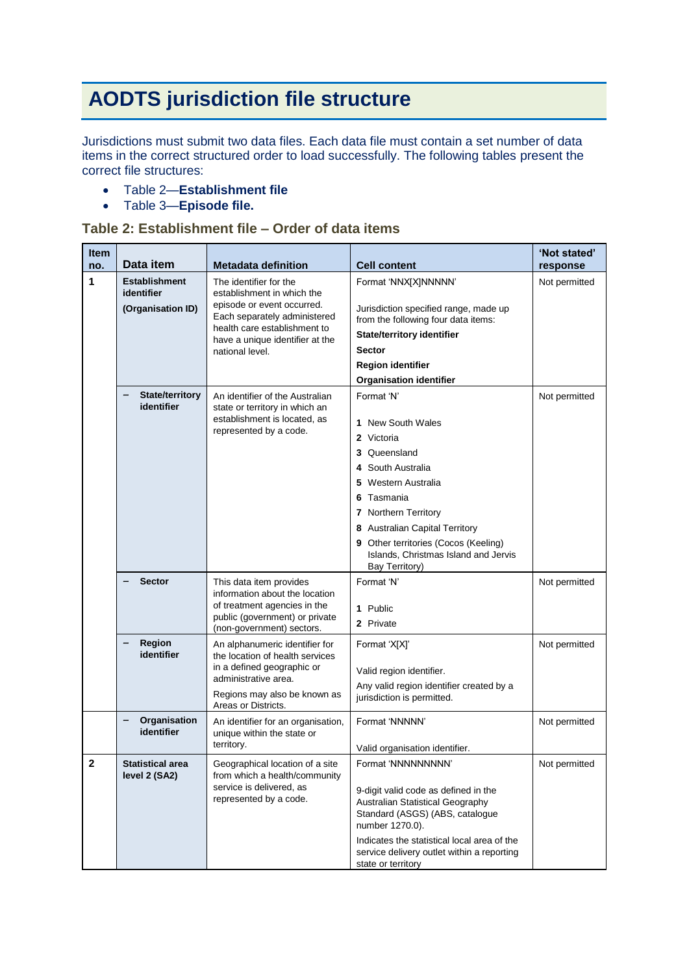# **AODTS jurisdiction file structure**

Jurisdictions must submit two data files. Each data file must contain a set number of data items in the correct structured order to load successfully. The following tables present the correct file structures:

- Table 2—**Establishment file**
- Table 3—**Episode file.**

### **Table 2: Establishment file – Order of data items**

| <b>Item</b><br>no. | Data item                                                                                  | <b>Metadata definition</b>                                                                | <b>Cell content</b>                                                                                             | 'Not stated'<br>response |
|--------------------|--------------------------------------------------------------------------------------------|-------------------------------------------------------------------------------------------|-----------------------------------------------------------------------------------------------------------------|--------------------------|
| 1                  | <b>Establishment</b><br>The identifier for the<br>identifier<br>establishment in which the |                                                                                           | Format 'NNX[X]NNNNN'                                                                                            | Not permitted            |
|                    | (Organisation ID)                                                                          | episode or event occurred.<br>Each separately administered                                | Jurisdiction specified range, made up<br>from the following four data items:                                    |                          |
|                    |                                                                                            | health care establishment to<br>have a unique identifier at the                           | <b>State/territory identifier</b>                                                                               |                          |
|                    |                                                                                            | national level.                                                                           | <b>Sector</b>                                                                                                   |                          |
|                    |                                                                                            |                                                                                           | <b>Region identifier</b>                                                                                        |                          |
|                    |                                                                                            |                                                                                           | <b>Organisation identifier</b>                                                                                  |                          |
|                    | <b>State/territory</b><br>identifier                                                       | An identifier of the Australian<br>state or territory in which an                         | Format 'N'                                                                                                      | Not permitted            |
|                    |                                                                                            | establishment is located, as<br>represented by a code.                                    | <b>New South Wales</b><br>1.                                                                                    |                          |
|                    |                                                                                            |                                                                                           | Victoria<br>2                                                                                                   |                          |
|                    |                                                                                            |                                                                                           | Queensland<br>3<br>South Australia                                                                              |                          |
|                    |                                                                                            |                                                                                           | 4<br>Western Australia<br>5                                                                                     |                          |
|                    |                                                                                            |                                                                                           | Tasmania<br>6                                                                                                   |                          |
|                    |                                                                                            |                                                                                           | 7 Northern Territory                                                                                            |                          |
|                    |                                                                                            |                                                                                           | 8 Australian Capital Territory                                                                                  |                          |
|                    |                                                                                            |                                                                                           | Other territories (Cocos (Keeling)<br>Islands, Christmas Island and Jervis<br>Bay Territory)                    |                          |
|                    | <b>Sector</b>                                                                              | This data item provides<br>information about the location<br>of treatment agencies in the | Format 'N'                                                                                                      | Not permitted            |
|                    |                                                                                            |                                                                                           | 1 Public                                                                                                        |                          |
|                    |                                                                                            | public (government) or private<br>(non-government) sectors.                               | 2 Private                                                                                                       |                          |
|                    | Region<br>identifier                                                                       | An alphanumeric identifier for<br>the location of health services                         | Format 'X[X]'                                                                                                   | Not permitted            |
|                    |                                                                                            | in a defined geographic or                                                                | Valid region identifier.                                                                                        |                          |
|                    |                                                                                            | administrative area.<br>Regions may also be known as                                      | Any valid region identifier created by a                                                                        |                          |
|                    |                                                                                            | Areas or Districts.                                                                       | jurisdiction is permitted.                                                                                      |                          |
|                    | Organisation<br>identifier                                                                 | An identifier for an organisation,<br>unique within the state or                          | Format 'NNNNN'                                                                                                  | Not permitted            |
|                    |                                                                                            | territory.                                                                                | Valid organisation identifier.                                                                                  |                          |
| 2                  | Statistical area<br>level 2 (SA2)                                                          | Geographical location of a site<br>from which a health/community                          | Format 'NNNNNNNNN'                                                                                              | Not permitted            |
|                    |                                                                                            | service is delivered, as<br>represented by a code.                                        | 9-digit valid code as defined in the<br>Australian Statistical Geography                                        |                          |
|                    |                                                                                            |                                                                                           | Standard (ASGS) (ABS, catalogue<br>number 1270.0).                                                              |                          |
|                    |                                                                                            |                                                                                           | Indicates the statistical local area of the<br>service delivery outlet within a reporting<br>state or territory |                          |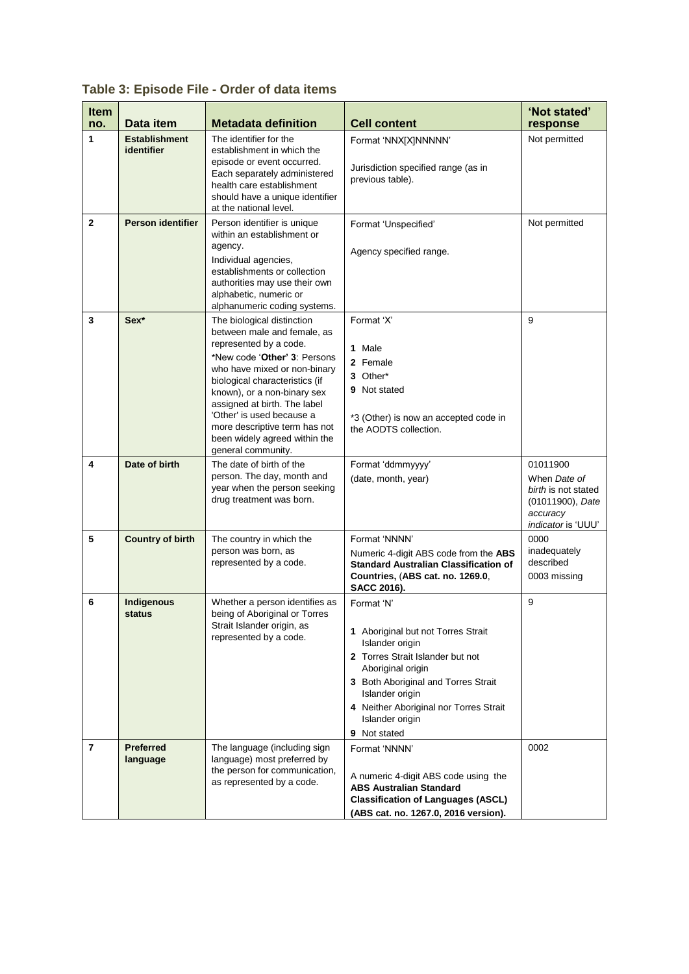| <b>Item</b><br>no. | Data item                          | <b>Metadata definition</b>                                                                                                                                                                                                                                                                                                                                                         | <b>Cell content</b>                                                                                                                                                                                                                                                 | 'Not stated'<br>response                                                                                     |
|--------------------|------------------------------------|------------------------------------------------------------------------------------------------------------------------------------------------------------------------------------------------------------------------------------------------------------------------------------------------------------------------------------------------------------------------------------|---------------------------------------------------------------------------------------------------------------------------------------------------------------------------------------------------------------------------------------------------------------------|--------------------------------------------------------------------------------------------------------------|
| 1                  | <b>Establishment</b><br>identifier | The identifier for the<br>establishment in which the<br>episode or event occurred.<br>Each separately administered<br>health care establishment<br>should have a unique identifier<br>at the national level.                                                                                                                                                                       | Format 'NNX[X]NNNNN'<br>Jurisdiction specified range (as in<br>previous table).                                                                                                                                                                                     | Not permitted                                                                                                |
| $\mathbf{2}$       | <b>Person identifier</b>           | Person identifier is unique<br>within an establishment or<br>agency.<br>Individual agencies,<br>establishments or collection<br>authorities may use their own<br>alphabetic, numeric or<br>alphanumeric coding systems.                                                                                                                                                            | Format 'Unspecified'<br>Agency specified range.                                                                                                                                                                                                                     | Not permitted                                                                                                |
| 3                  | Sex*                               | The biological distinction<br>between male and female, as<br>represented by a code.<br>*New code ' <b>Other' 3</b> : Persons<br>who have mixed or non-binary<br>biological characteristics (if<br>known), or a non-binary sex<br>assigned at birth. The label<br>'Other' is used because a<br>more descriptive term has not<br>been widely agreed within the<br>general community. | Format 'X'<br>1 Male<br>2 Female<br>3 Other*<br>9 Not stated<br>*3 (Other) is now an accepted code in<br>the AODTS collection.                                                                                                                                      | 9                                                                                                            |
| 4                  | Date of birth                      | The date of birth of the<br>person. The day, month and<br>year when the person seeking<br>drug treatment was born.                                                                                                                                                                                                                                                                 | Format 'ddmmyyyy'<br>(date, month, year)                                                                                                                                                                                                                            | 01011900<br>When Date of<br>birth is not stated<br>(01011900), Date<br>accuracy<br><i>indicator</i> is 'UUU' |
| 5                  | <b>Country of birth</b>            | The country in which the<br>person was born, as<br>represented by a code.                                                                                                                                                                                                                                                                                                          | Format 'NNNN'<br>Numeric 4-digit ABS code from the ABS<br><b>Standard Australian Classification of</b><br>Countries, (ABS cat. no. 1269.0,<br><b>SACC 2016).</b>                                                                                                    | 0000<br>inadequately<br>described<br>0003 missing                                                            |
| 6                  | Indigenous<br>status               | Whether a person identifies as<br>being of Aboriginal or Torres<br>Strait Islander origin, as<br>represented by a code.                                                                                                                                                                                                                                                            | Format 'N'<br>1 Aboriginal but not Torres Strait<br>Islander origin<br>2 Torres Strait Islander but not<br>Aboriginal origin<br>3 Both Aboriginal and Torres Strait<br>Islander origin<br>4 Neither Aboriginal nor Torres Strait<br>Islander origin<br>9 Not stated | 9                                                                                                            |
| $\overline{7}$     | <b>Preferred</b><br>language       | The language (including sign<br>language) most preferred by<br>the person for communication,<br>as represented by a code.                                                                                                                                                                                                                                                          | Format 'NNNN'<br>A numeric 4-digit ABS code using the<br><b>ABS Australian Standard</b><br><b>Classification of Languages (ASCL)</b><br>(ABS cat. no. 1267.0, 2016 version).                                                                                        | 0002                                                                                                         |

**Table 3: Episode File - Order of data items**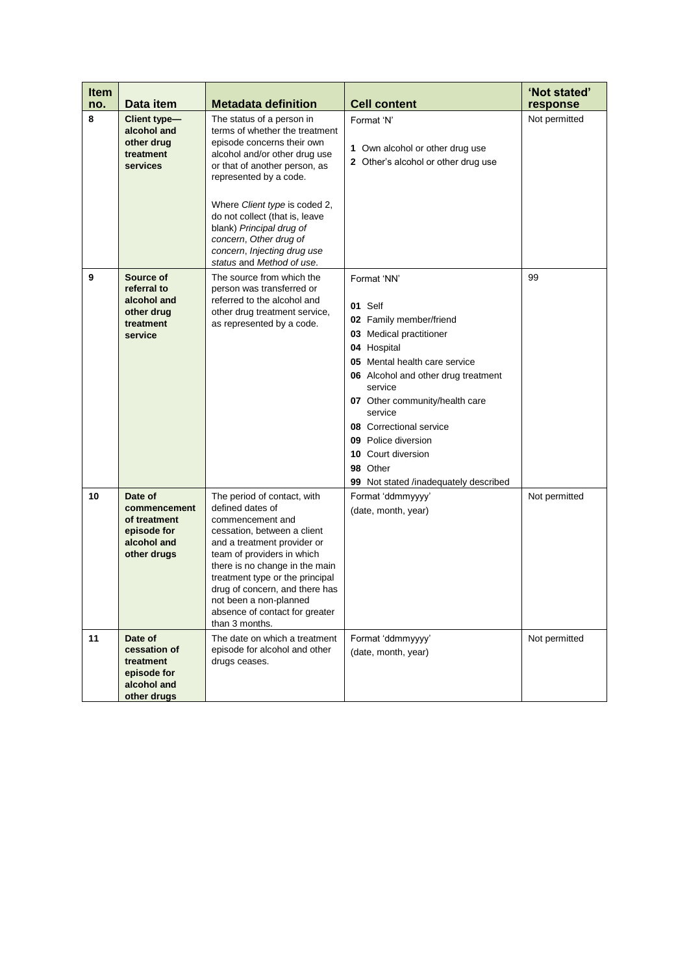| <b>Item</b><br>no. | Data item                                                                            | <b>Metadata definition</b>                                                                                                                                                                                                                                                                                                                                                 | <b>Cell content</b>                                                                                                                                                                                                                                                                                                                                             | 'Not stated'<br>response |
|--------------------|--------------------------------------------------------------------------------------|----------------------------------------------------------------------------------------------------------------------------------------------------------------------------------------------------------------------------------------------------------------------------------------------------------------------------------------------------------------------------|-----------------------------------------------------------------------------------------------------------------------------------------------------------------------------------------------------------------------------------------------------------------------------------------------------------------------------------------------------------------|--------------------------|
| 8                  | Client type-<br>alcohol and<br>other drug<br>treatment<br>services                   | The status of a person in<br>terms of whether the treatment<br>episode concerns their own<br>alcohol and/or other drug use<br>or that of another person, as<br>represented by a code.<br>Where Client type is coded 2,<br>do not collect (that is, leave<br>blank) Principal drug of<br>concern, Other drug of<br>concern, Injecting drug use<br>status and Method of use. | Format 'N'<br>1 Own alcohol or other drug use<br>2 Other's alcohol or other drug use                                                                                                                                                                                                                                                                            | Not permitted            |
| 9                  | Source of<br>referral to<br>alcohol and<br>other drug<br>treatment<br>service        | The source from which the<br>person was transferred or<br>referred to the alcohol and<br>other drug treatment service,<br>as represented by a code.                                                                                                                                                                                                                        | Format 'NN'<br>01 Self<br>02 Family member/friend<br>03 Medical practitioner<br>04 Hospital<br>05 Mental health care service<br>06 Alcohol and other drug treatment<br>service<br>07 Other community/health care<br>service<br><b>08</b> Correctional service<br>09 Police diversion<br>10 Court diversion<br>98 Other<br>99 Not stated /inadequately described | 99                       |
| 10                 | Date of<br>commencement<br>of treatment<br>episode for<br>alcohol and<br>other drugs | The period of contact, with<br>defined dates of<br>commencement and<br>cessation, between a client<br>and a treatment provider or<br>team of providers in which<br>there is no change in the main<br>treatment type or the principal<br>drug of concern, and there has<br>not been a non-planned<br>absence of contact for greater<br>than 3 months.                       | Format 'ddmmyyyy'<br>(date, month, year)                                                                                                                                                                                                                                                                                                                        | Not permitted            |
| 11                 | Date of<br>cessation of<br>treatment<br>episode for<br>alcohol and<br>other drugs    | The date on which a treatment<br>episode for alcohol and other<br>drugs ceases.                                                                                                                                                                                                                                                                                            | Format 'ddmmyyyy'<br>(date, month, year)                                                                                                                                                                                                                                                                                                                        | Not permitted            |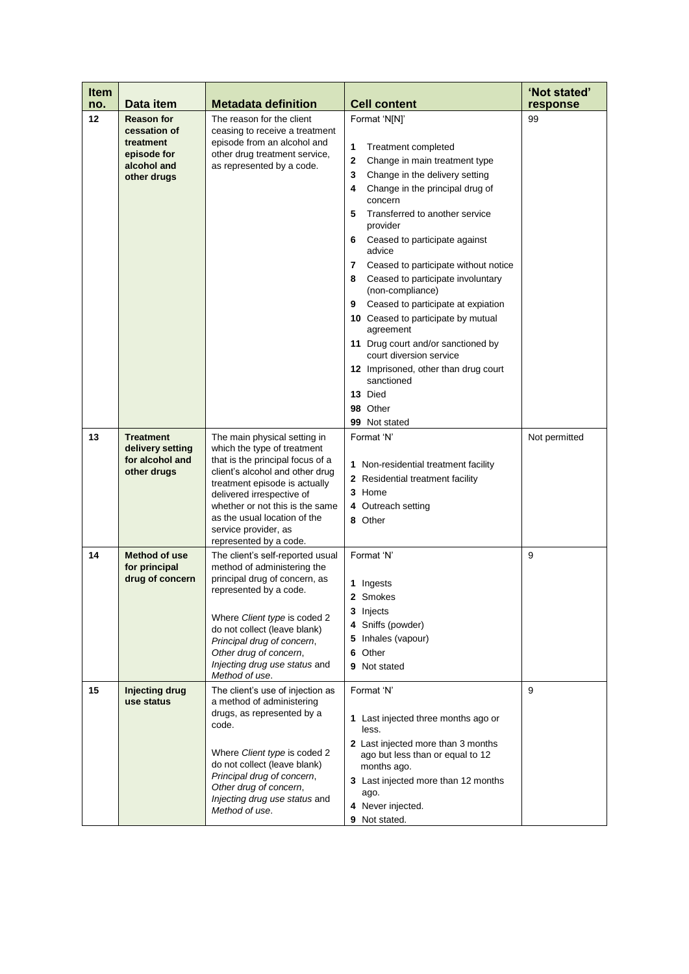| <b>Item</b><br>no. | Data item                                                                                   | <b>Metadata definition</b>                                                                                                                                                                                                                                                                                            | <b>Cell content</b>                                                                                                                                                                                                                                                                                                                                                                                                                                                                                                                                                                                                                                  | 'Not stated'<br>response |
|--------------------|---------------------------------------------------------------------------------------------|-----------------------------------------------------------------------------------------------------------------------------------------------------------------------------------------------------------------------------------------------------------------------------------------------------------------------|------------------------------------------------------------------------------------------------------------------------------------------------------------------------------------------------------------------------------------------------------------------------------------------------------------------------------------------------------------------------------------------------------------------------------------------------------------------------------------------------------------------------------------------------------------------------------------------------------------------------------------------------------|--------------------------|
| 12                 | <b>Reason for</b><br>cessation of<br>treatment<br>episode for<br>alcohol and<br>other drugs | The reason for the client<br>ceasing to receive a treatment<br>episode from an alcohol and<br>other drug treatment service,<br>as represented by a code.                                                                                                                                                              | Format 'N[N]'<br>1<br>Treatment completed<br>2<br>Change in main treatment type<br>3<br>Change in the delivery setting<br>Change in the principal drug of<br>4<br>concern<br>5<br>Transferred to another service<br>provider<br>Ceased to participate against<br>6<br>advice<br>7<br>Ceased to participate without notice<br>8<br>Ceased to participate involuntary<br>(non-compliance)<br>Ceased to participate at expiation<br>9<br>10 Ceased to participate by mutual<br>agreement<br>11 Drug court and/or sanctioned by<br>court diversion service<br>12 Imprisoned, other than drug court<br>sanctioned<br>13 Died<br>98 Other<br>99 Not stated | 99                       |
| 13                 | <b>Treatment</b><br>delivery setting<br>for alcohol and<br>other drugs                      | The main physical setting in<br>which the type of treatment<br>that is the principal focus of a<br>client's alcohol and other drug<br>treatment episode is actually<br>delivered irrespective of<br>whether or not this is the same<br>as the usual location of the<br>service provider, as<br>represented by a code. | Format 'N'<br>1 Non-residential treatment facility<br>2 Residential treatment facility<br>3 Home<br>4 Outreach setting<br>8 Other                                                                                                                                                                                                                                                                                                                                                                                                                                                                                                                    | Not permitted            |
| 14                 | <b>Method of use</b><br>for principal<br>drug of concern                                    | The client's self-reported usual<br>method of administering the<br>principal drug of concern, as<br>represented by a code.<br>Where Client type is coded 2<br>do not collect (leave blank)<br>Principal drug of concern,<br>Other drug of concern,<br>Injecting drug use status and<br>Method of use.                 | Format 'N'<br>1 Ingests<br>2 Smokes<br>3 Injects<br>4 Sniffs (powder)<br>5 Inhales (vapour)<br>Other<br>6<br>9 Not stated                                                                                                                                                                                                                                                                                                                                                                                                                                                                                                                            | 9                        |
| 15                 | <b>Injecting drug</b><br>use status                                                         | The client's use of injection as<br>a method of administering<br>drugs, as represented by a<br>code.<br>Where Client type is coded 2<br>do not collect (leave blank)<br>Principal drug of concern,<br>Other drug of concern,<br>Injecting drug use status and<br>Method of use.                                       | Format 'N'<br>1 Last injected three months ago or<br>less.<br>2 Last injected more than 3 months<br>ago but less than or equal to 12<br>months ago.<br>3 Last injected more than 12 months<br>ago.<br>4 Never injected.<br>9 Not stated.                                                                                                                                                                                                                                                                                                                                                                                                             | 9                        |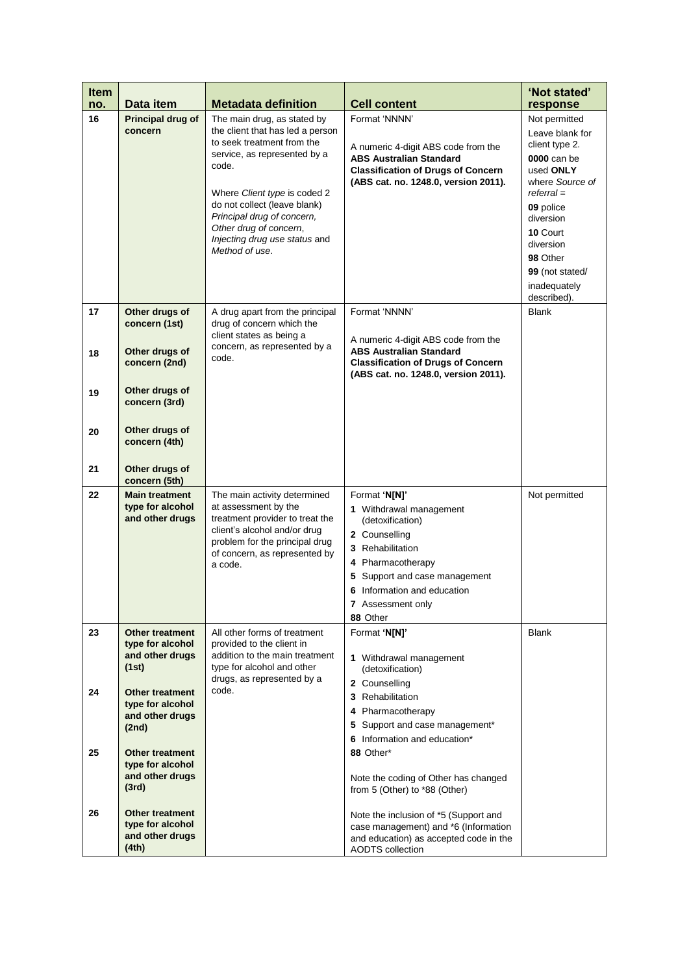| <b>Item</b><br>no. | Data item                                                              | <b>Metadata definition</b>                                                                                                                                                                                                                                                                                        | <b>Cell content</b>                                                                                                                                                                                                     | 'Not stated'<br>response                                                                                                                                                                                                           |
|--------------------|------------------------------------------------------------------------|-------------------------------------------------------------------------------------------------------------------------------------------------------------------------------------------------------------------------------------------------------------------------------------------------------------------|-------------------------------------------------------------------------------------------------------------------------------------------------------------------------------------------------------------------------|------------------------------------------------------------------------------------------------------------------------------------------------------------------------------------------------------------------------------------|
| 16                 | Principal drug of<br>concern                                           | The main drug, as stated by<br>the client that has led a person<br>to seek treatment from the<br>service, as represented by a<br>code.<br>Where Client type is coded 2<br>do not collect (leave blank)<br>Principal drug of concern,<br>Other drug of concern,<br>Injecting drug use status and<br>Method of use. | Format 'NNNN'<br>A numeric 4-digit ABS code from the<br><b>ABS Australian Standard</b><br><b>Classification of Drugs of Concern</b><br>(ABS cat. no. 1248.0, version 2011).                                             | Not permitted<br>Leave blank for<br>client type 2.<br>0000 can be<br>used ONLY<br>where Source of<br>$referral =$<br>09 police<br>diversion<br>10 Court<br>diversion<br>98 Other<br>99 (not stated/<br>inadequately<br>described). |
| 17<br>18           | Other drugs of<br>concern (1st)<br>Other drugs of<br>concern (2nd)     | A drug apart from the principal<br>drug of concern which the<br>client states as being a<br>concern, as represented by a<br>code.                                                                                                                                                                                 | Format 'NNNN'<br>A numeric 4-digit ABS code from the<br><b>ABS Australian Standard</b><br><b>Classification of Drugs of Concern</b>                                                                                     | <b>Blank</b>                                                                                                                                                                                                                       |
| 19                 | Other drugs of<br>concern (3rd)                                        |                                                                                                                                                                                                                                                                                                                   | (ABS cat. no. 1248.0, version 2011).                                                                                                                                                                                    |                                                                                                                                                                                                                                    |
| 20                 | Other drugs of<br>concern (4th)                                        |                                                                                                                                                                                                                                                                                                                   |                                                                                                                                                                                                                         |                                                                                                                                                                                                                                    |
| 21                 | Other drugs of<br>concern (5th)                                        |                                                                                                                                                                                                                                                                                                                   |                                                                                                                                                                                                                         |                                                                                                                                                                                                                                    |
| 22                 | <b>Main treatment</b><br>type for alcohol<br>and other drugs           | The main activity determined<br>at assessment by the<br>treatment provider to treat the<br>client's alcohol and/or drug<br>problem for the principal drug<br>of concern, as represented by<br>a code.                                                                                                             | Format 'N[N]'<br>1 Withdrawal management<br>(detoxification)<br>2 Counselling<br>3 Rehabilitation<br>4 Pharmacotherapy<br>5 Support and case management<br>6 Information and education<br>7 Assessment only<br>88 Other | Not permitted                                                                                                                                                                                                                      |
| 23                 | <b>Other treatment</b><br>type for alcohol<br>and other drugs<br>(1st) | All other forms of treatment<br>provided to the client in<br>addition to the main treatment<br>type for alcohol and other                                                                                                                                                                                         | Format 'N[N]'<br>1 Withdrawal management<br>(detoxification)                                                                                                                                                            | <b>Blank</b>                                                                                                                                                                                                                       |
| 24                 | <b>Other treatment</b><br>type for alcohol<br>and other drugs<br>(2nd) | drugs, as represented by a<br>code.                                                                                                                                                                                                                                                                               | 2 Counselling<br>3 Rehabilitation<br>4 Pharmacotherapy<br>5 Support and case management*<br>6 Information and education*                                                                                                |                                                                                                                                                                                                                                    |
| 25                 | <b>Other treatment</b><br>type for alcohol<br>and other drugs<br>(3rd) |                                                                                                                                                                                                                                                                                                                   | 88 Other*<br>Note the coding of Other has changed<br>from 5 (Other) to *88 (Other)                                                                                                                                      |                                                                                                                                                                                                                                    |
| 26                 | <b>Other treatment</b><br>type for alcohol<br>and other drugs<br>(4th) |                                                                                                                                                                                                                                                                                                                   | Note the inclusion of *5 (Support and<br>case management) and *6 (Information<br>and education) as accepted code in the<br><b>AODTS</b> collection                                                                      |                                                                                                                                                                                                                                    |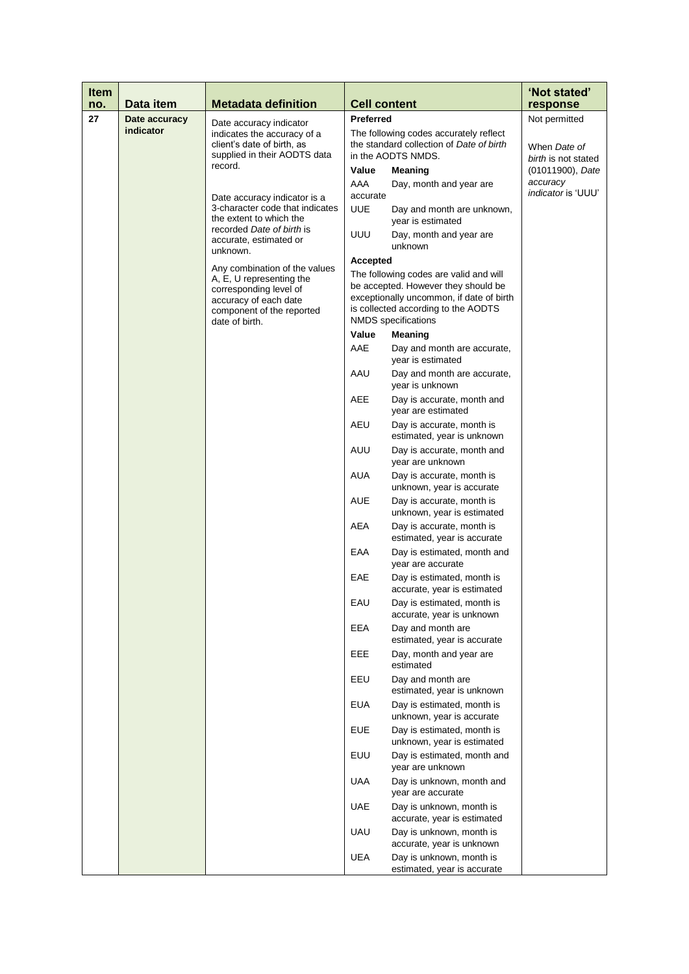| <b>Item</b><br>no. | Data item     | <b>Metadata definition</b>                                                                                                      | <b>Cell content</b> |                                                                                                                                                                                         | 'Not stated'<br>response                                            |
|--------------------|---------------|---------------------------------------------------------------------------------------------------------------------------------|---------------------|-----------------------------------------------------------------------------------------------------------------------------------------------------------------------------------------|---------------------------------------------------------------------|
| 27                 | Date accuracy |                                                                                                                                 | <b>Preferred</b>    |                                                                                                                                                                                         | Not permitted                                                       |
|                    | indicator     | Date accuracy indicator<br>indicates the accuracy of a<br>client's date of birth, as<br>supplied in their AODTS data<br>record. | Value<br>AAA        | The following codes accurately reflect<br>the standard collection of Date of birth<br>in the AODTS NMDS.<br>Meaning                                                                     | When Date of<br>birth is not stated<br>(01011900), Date<br>accuracy |
|                    |               | Date accuracy indicator is a<br>3-character code that indicates<br>the extent to which the                                      | accurate<br>UUE     | Day, month and year are<br>Day and month are unknown,<br>year is estimated                                                                                                              | <i>indicator</i> is 'UUU'                                           |
|                    |               | recorded Date of birth is<br>accurate, estimated or<br>unknown.                                                                 | UUU                 | Day, month and year are<br>unknown                                                                                                                                                      |                                                                     |
|                    |               | Any combination of the values                                                                                                   | <b>Accepted</b>     |                                                                                                                                                                                         |                                                                     |
|                    |               | A, E, U representing the<br>corresponding level of<br>accuracy of each date<br>component of the reported<br>date of birth.      |                     | The following codes are valid and will<br>be accepted. However they should be<br>exceptionally uncommon, if date of birth<br>is collected according to the AODTS<br>NMDS specifications |                                                                     |
|                    |               |                                                                                                                                 | Value               | Meaning                                                                                                                                                                                 |                                                                     |
|                    |               |                                                                                                                                 | AAE                 | Day and month are accurate,<br>year is estimated                                                                                                                                        |                                                                     |
|                    |               |                                                                                                                                 | AAU                 | Day and month are accurate,<br>year is unknown                                                                                                                                          |                                                                     |
|                    |               |                                                                                                                                 | AEE                 | Day is accurate, month and<br>year are estimated                                                                                                                                        |                                                                     |
|                    |               |                                                                                                                                 | AEU                 | Day is accurate, month is<br>estimated, year is unknown                                                                                                                                 |                                                                     |
|                    |               |                                                                                                                                 | AUU                 | Day is accurate, month and<br>year are unknown                                                                                                                                          |                                                                     |
|                    |               |                                                                                                                                 | AUA                 | Day is accurate, month is<br>unknown, year is accurate                                                                                                                                  |                                                                     |
|                    |               |                                                                                                                                 | <b>AUE</b>          | Day is accurate, month is<br>unknown, year is estimated                                                                                                                                 |                                                                     |
|                    |               |                                                                                                                                 | AEA                 | Day is accurate, month is<br>estimated, year is accurate                                                                                                                                |                                                                     |
|                    |               |                                                                                                                                 | EAA                 | Day is estimated, month and<br>year are accurate                                                                                                                                        |                                                                     |
|                    |               |                                                                                                                                 | EAE                 | Day is estimated, month is<br>accurate, year is estimated                                                                                                                               |                                                                     |
|                    |               |                                                                                                                                 | EAU                 | Day is estimated, month is<br>accurate, year is unknown                                                                                                                                 |                                                                     |
|                    |               |                                                                                                                                 | EEA                 | Day and month are<br>estimated, year is accurate                                                                                                                                        |                                                                     |
|                    |               |                                                                                                                                 | EEE                 | Day, month and year are<br>estimated                                                                                                                                                    |                                                                     |
|                    |               |                                                                                                                                 | EEU                 | Day and month are<br>estimated, year is unknown                                                                                                                                         |                                                                     |
|                    |               |                                                                                                                                 | <b>EUA</b>          | Day is estimated, month is<br>unknown, year is accurate                                                                                                                                 |                                                                     |
|                    |               |                                                                                                                                 | EUE<br><b>EUU</b>   | Day is estimated, month is<br>unknown, year is estimated<br>Day is estimated, month and                                                                                                 |                                                                     |
|                    |               |                                                                                                                                 | UAA                 | year are unknown<br>Day is unknown, month and                                                                                                                                           |                                                                     |
|                    |               |                                                                                                                                 | UAE                 | year are accurate<br>Day is unknown, month is                                                                                                                                           |                                                                     |
|                    |               |                                                                                                                                 | UAU                 | accurate, year is estimated<br>Day is unknown, month is                                                                                                                                 |                                                                     |
|                    |               |                                                                                                                                 | <b>UEA</b>          | accurate, year is unknown<br>Day is unknown, month is                                                                                                                                   |                                                                     |
|                    |               |                                                                                                                                 |                     | estimated, year is accurate                                                                                                                                                             |                                                                     |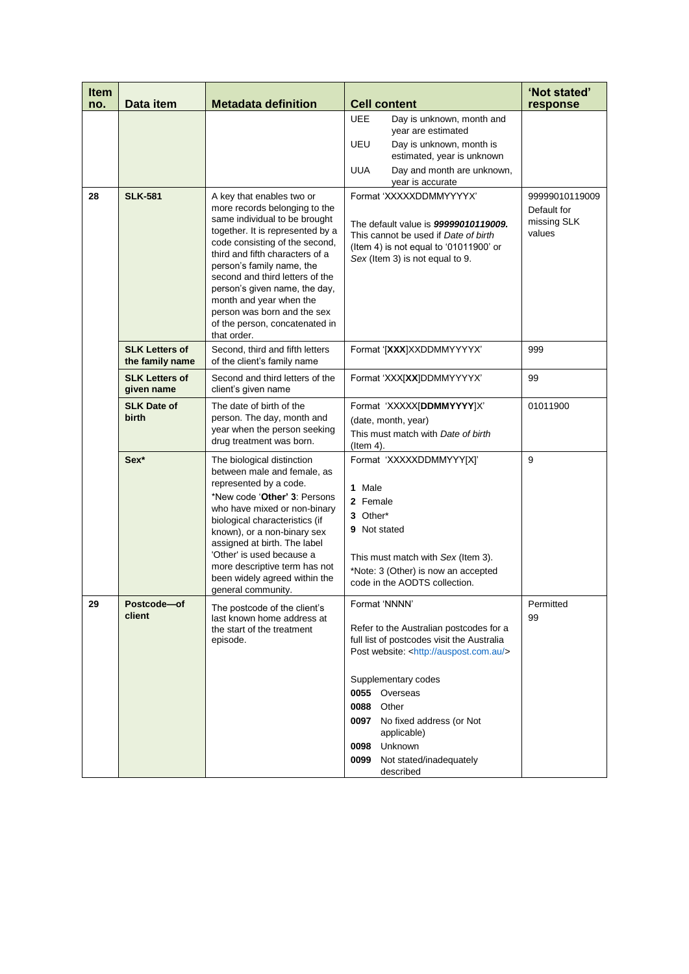| <b>Item</b><br>no. | Data item                                | <b>Metadata definition</b>                                                                                                                                                                                                                                                                                                                                                                                       | <b>Cell content</b>                                                                                                                                                                                                                                                                                                                                                                    | 'Not stated'<br>response                               |
|--------------------|------------------------------------------|------------------------------------------------------------------------------------------------------------------------------------------------------------------------------------------------------------------------------------------------------------------------------------------------------------------------------------------------------------------------------------------------------------------|----------------------------------------------------------------------------------------------------------------------------------------------------------------------------------------------------------------------------------------------------------------------------------------------------------------------------------------------------------------------------------------|--------------------------------------------------------|
| 28                 | <b>SLK-581</b>                           | A key that enables two or<br>more records belonging to the<br>same individual to be brought<br>together. It is represented by a<br>code consisting of the second,<br>third and fifth characters of a<br>person's family name, the<br>second and third letters of the<br>person's given name, the day,<br>month and year when the<br>person was born and the sex<br>of the person, concatenated in<br>that order. | <b>UEE</b><br>Day is unknown, month and<br>year are estimated<br>UEU<br>Day is unknown, month is<br>estimated, year is unknown<br><b>UUA</b><br>Day and month are unknown,<br>year is accurate<br>Format 'XXXXXDDMMYYYYX'<br>The default value is 99999010119009.<br>This cannot be used if Date of birth<br>(Item 4) is not equal to '01011900' or<br>Sex (Item 3) is not equal to 9. | 99999010119009<br>Default for<br>missing SLK<br>values |
|                    | <b>SLK Letters of</b><br>the family name | Second, third and fifth letters<br>of the client's family name                                                                                                                                                                                                                                                                                                                                                   | Format '[XXX]XXDDMMYYYYX'                                                                                                                                                                                                                                                                                                                                                              | 999                                                    |
|                    | <b>SLK Letters of</b><br>given name      | Second and third letters of the<br>client's given name                                                                                                                                                                                                                                                                                                                                                           | Format 'XXX[XX]DDMMYYYYX'                                                                                                                                                                                                                                                                                                                                                              | 99                                                     |
|                    | <b>SLK Date of</b><br>birth              | The date of birth of the<br>person. The day, month and<br>year when the person seeking<br>drug treatment was born.                                                                                                                                                                                                                                                                                               | Format 'XXXXX[DDMMYYYY]X'<br>(date, month, year)<br>This must match with Date of birth<br>(Item 4).                                                                                                                                                                                                                                                                                    | 01011900                                               |
|                    | Sex*                                     | The biological distinction<br>between male and female, as<br>represented by a code.<br>*New code 'Other' 3: Persons<br>who have mixed or non-binary<br>biological characteristics (if<br>known), or a non-binary sex<br>assigned at birth. The label<br>'Other' is used because a<br>more descriptive term has not<br>been widely agreed within the<br>general community.                                        | Format 'XXXXXDDMMYYY[X]'<br>1 Male<br>2 Female<br>3 Other*<br>9 Not stated<br>This must match with Sex (Item 3).<br>*Note: 3 (Other) is now an accepted<br>code in the AODTS collection.                                                                                                                                                                                               | 9                                                      |
| 29                 | Postcode-of<br>client                    | The postcode of the client's<br>last known home address at<br>the start of the treatment<br>episode.                                                                                                                                                                                                                                                                                                             | Format 'NNNN'<br>Refer to the Australian postcodes for a<br>full list of postcodes visit the Australia<br>Post website: <http: auspost.com.au=""></http:><br>Supplementary codes<br>0055 Overseas<br>0088<br>Other<br>0097<br>No fixed address (or Not<br>applicable)<br>Unknown<br>0098<br>0099<br>Not stated/inadequately<br>described                                               | Permitted<br>99                                        |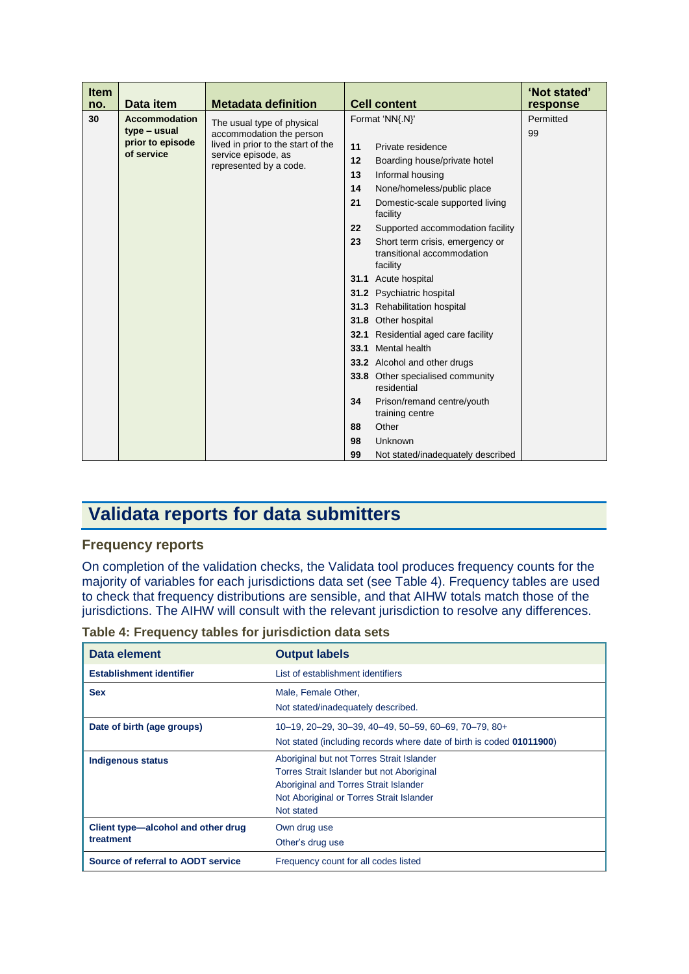| <b>Item</b><br>no. | Data item                                      | <b>Metadata definition</b>                                                                                      |      | <b>Cell content</b>                                                       | 'Not stated'<br>response |
|--------------------|------------------------------------------------|-----------------------------------------------------------------------------------------------------------------|------|---------------------------------------------------------------------------|--------------------------|
| 30                 | <b>Accommodation</b>                           | The usual type of physical                                                                                      |      | Format 'NN{.N}'                                                           | Permitted                |
|                    | type – usual<br>prior to episode<br>of service | accommodation the person<br>lived in prior to the start of the<br>service episode, as<br>represented by a code. |      |                                                                           | 99                       |
|                    |                                                |                                                                                                                 | 11   | Private residence                                                         |                          |
|                    |                                                |                                                                                                                 | 12   | Boarding house/private hotel                                              |                          |
|                    |                                                |                                                                                                                 | 13   | Informal housing                                                          |                          |
|                    |                                                |                                                                                                                 | 14   | None/homeless/public place                                                |                          |
|                    |                                                |                                                                                                                 | 21   | Domestic-scale supported living<br>facility                               |                          |
|                    |                                                |                                                                                                                 | 22   | Supported accommodation facility                                          |                          |
|                    |                                                |                                                                                                                 | 23   | Short term crisis, emergency or<br>transitional accommodation<br>facility |                          |
|                    |                                                |                                                                                                                 |      | 31.1 Acute hospital                                                       |                          |
|                    |                                                |                                                                                                                 |      | 31.2 Psychiatric hospital                                                 |                          |
|                    |                                                |                                                                                                                 |      | 31.3 Rehabilitation hospital                                              |                          |
|                    |                                                |                                                                                                                 |      | 31.8 Other hospital                                                       |                          |
|                    |                                                |                                                                                                                 | 32.1 | Residential aged care facility                                            |                          |
|                    |                                                |                                                                                                                 | 33.1 | Mental health                                                             |                          |
|                    |                                                |                                                                                                                 |      | 33.2 Alcohol and other drugs                                              |                          |
|                    |                                                |                                                                                                                 |      | 33.8 Other specialised community<br>residential                           |                          |
|                    |                                                |                                                                                                                 | 34   | Prison/remand centre/youth<br>training centre                             |                          |
|                    |                                                |                                                                                                                 | 88   | Other                                                                     |                          |
|                    |                                                |                                                                                                                 | 98   | Unknown                                                                   |                          |
|                    |                                                |                                                                                                                 | 99   | Not stated/inadequately described                                         |                          |

# **Validata reports for data submitters**

## **Frequency reports**

On completion of the validation checks, the Validata tool produces frequency counts for the majority of variables for each jurisdictions data set (see Table 4). Frequency tables are used to check that frequency distributions are sensible, and that AIHW totals match those of the jurisdictions. The AIHW will consult with the relevant jurisdiction to resolve any differences.

| Data element                                    | <b>Output labels</b>                                                                                                                                                                      |  |
|-------------------------------------------------|-------------------------------------------------------------------------------------------------------------------------------------------------------------------------------------------|--|
| <b>Establishment identifier</b>                 | List of establishment identifiers                                                                                                                                                         |  |
| <b>Sex</b>                                      | Male, Female Other,<br>Not stated/inadequately described.                                                                                                                                 |  |
| Date of birth (age groups)                      | 10-19, 20-29, 30-39, 40-49, 50-59, 60-69, 70-79, 80+<br>Not stated (including records where date of birth is coded 01011900)                                                              |  |
| <b>Indigenous status</b>                        | Aboriginal but not Torres Strait Islander<br>Torres Strait Islander but not Aboriginal<br>Aboriginal and Torres Strait Islander<br>Not Aboriginal or Torres Strait Islander<br>Not stated |  |
| Client type-alcohol and other drug<br>treatment | Own drug use<br>Other's drug use                                                                                                                                                          |  |
| Source of referral to AODT service              | Frequency count for all codes listed                                                                                                                                                      |  |

**Table 4: Frequency tables for jurisdiction data sets**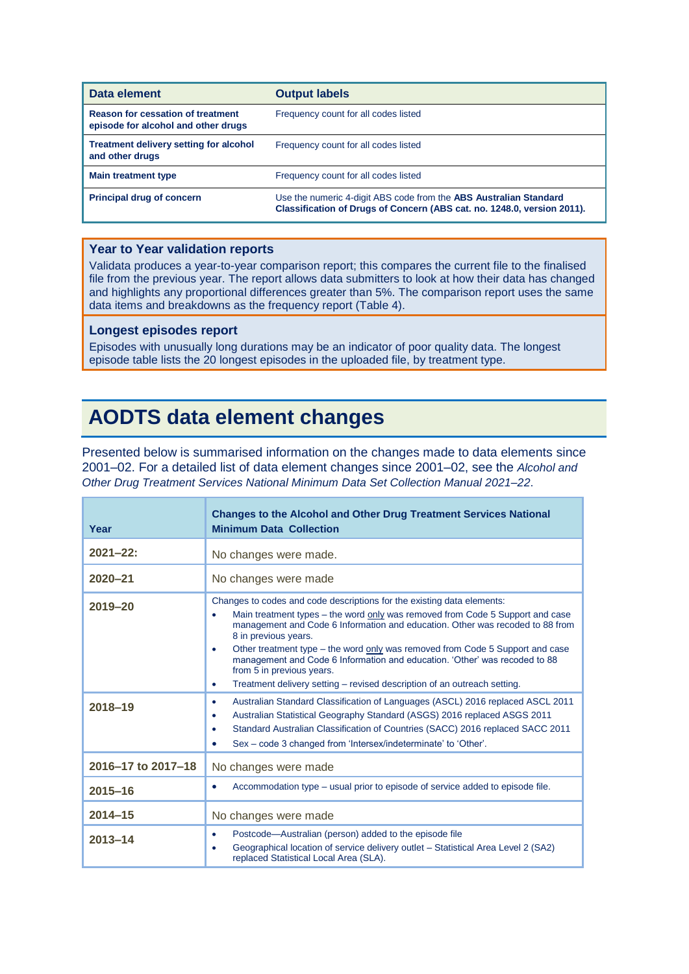| Data element                                                                    | <b>Output labels</b>                                                                                                                                |
|---------------------------------------------------------------------------------|-----------------------------------------------------------------------------------------------------------------------------------------------------|
| <b>Reason for cessation of treatment</b><br>episode for alcohol and other drugs | Frequency count for all codes listed                                                                                                                |
| <b>Treatment delivery setting for alcohol</b><br>and other drugs                | Frequency count for all codes listed                                                                                                                |
| <b>Main treatment type</b>                                                      | Frequency count for all codes listed                                                                                                                |
| <b>Principal drug of concern</b>                                                | Use the numeric 4-digit ABS code from the <b>ABS Australian Standard</b><br>Classification of Drugs of Concern (ABS cat. no. 1248.0, version 2011). |

#### **Year to Year validation reports**

Validata produces a year-to-year comparison report; this compares the current file to the finalised file from the previous year. The report allows data submitters to look at how their data has changed and highlights any proportional differences greater than 5%. The comparison report uses the same data items and breakdowns as the frequency report (Table 4).

#### **Longest episodes report**

Episodes with unusually long durations may be an indicator of poor quality data. The longest episode table lists the 20 longest episodes in the uploaded file, by treatment type.

# **AODTS data element changes**

Presented below is summarised information on the changes made to data elements since 2001–02. For a detailed list of data element changes since 2001–02, see the *Alcohol and Other Drug Treatment Services National Minimum Data Set Collection Manual 2021–22*.

| Year               | <b>Changes to the Alcohol and Other Drug Treatment Services National</b><br><b>Minimum Data Collection</b>                                                                                                                                                                                                                                                                                                                                                                                                                                                         |  |  |
|--------------------|--------------------------------------------------------------------------------------------------------------------------------------------------------------------------------------------------------------------------------------------------------------------------------------------------------------------------------------------------------------------------------------------------------------------------------------------------------------------------------------------------------------------------------------------------------------------|--|--|
| $2021 - 22$ :      | No changes were made.                                                                                                                                                                                                                                                                                                                                                                                                                                                                                                                                              |  |  |
| $2020 - 21$        | No changes were made                                                                                                                                                                                                                                                                                                                                                                                                                                                                                                                                               |  |  |
| $2019 - 20$        | Changes to codes and code descriptions for the existing data elements:<br>Main treatment types – the word only was removed from Code 5 Support and case<br>management and Code 6 Information and education. Other was recoded to 88 from<br>8 in previous years.<br>Other treatment type – the word only was removed from Code 5 Support and case<br>$\bullet$<br>management and Code 6 Information and education. 'Other' was recoded to 88<br>from 5 in previous years.<br>Treatment delivery setting – revised description of an outreach setting.<br>$\bullet$ |  |  |
| 2018-19            | Australian Standard Classification of Languages (ASCL) 2016 replaced ASCL 2011<br>$\bullet$<br>Australian Statistical Geography Standard (ASGS) 2016 replaced ASGS 2011<br>$\bullet$<br>Standard Australian Classification of Countries (SACC) 2016 replaced SACC 2011<br>$\bullet$<br>Sex – code 3 changed from 'Intersex/indeterminate' to 'Other'.<br>$\bullet$                                                                                                                                                                                                 |  |  |
| 2016-17 to 2017-18 | No changes were made                                                                                                                                                                                                                                                                                                                                                                                                                                                                                                                                               |  |  |
| $2015 - 16$        | Accommodation type - usual prior to episode of service added to episode file.<br>$\bullet$                                                                                                                                                                                                                                                                                                                                                                                                                                                                         |  |  |
| $2014 - 15$        | No changes were made                                                                                                                                                                                                                                                                                                                                                                                                                                                                                                                                               |  |  |
| $2013 - 14$        | Postcode—Australian (person) added to the episode file<br>٠<br>Geographical location of service delivery outlet - Statistical Area Level 2 (SA2)<br>٠<br>replaced Statistical Local Area (SLA).                                                                                                                                                                                                                                                                                                                                                                    |  |  |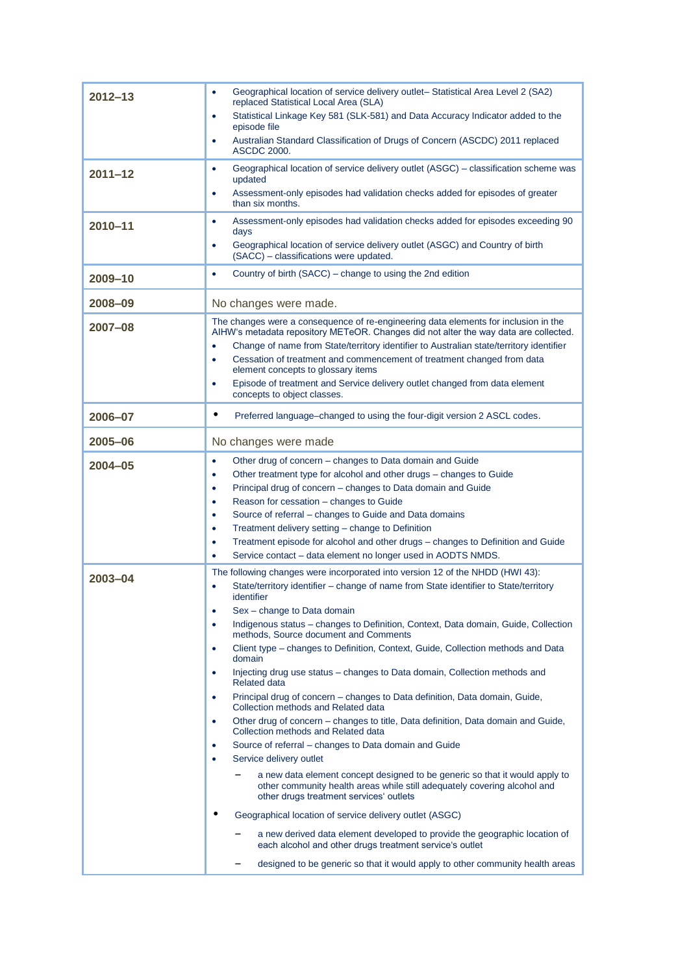| $2012 - 13$ | Geographical location of service delivery outlet-Statistical Area Level 2 (SA2)<br>۰<br>replaced Statistical Local Area (SLA)<br>Statistical Linkage Key 581 (SLK-581) and Data Accuracy Indicator added to the<br>$\bullet$ |
|-------------|------------------------------------------------------------------------------------------------------------------------------------------------------------------------------------------------------------------------------|
|             | episode file<br>Australian Standard Classification of Drugs of Concern (ASCDC) 2011 replaced<br>۰<br><b>ASCDC 2000.</b>                                                                                                      |
| $2011 - 12$ | Geographical location of service delivery outlet (ASGC) – classification scheme was<br>۰<br>updated                                                                                                                          |
|             | Assessment-only episodes had validation checks added for episodes of greater<br>$\bullet$<br>than six months.                                                                                                                |
| 2010-11     | Assessment-only episodes had validation checks added for episodes exceeding 90<br>۰<br>days                                                                                                                                  |
|             | Geographical location of service delivery outlet (ASGC) and Country of birth<br>٠<br>(SACC) - classifications were updated.                                                                                                  |
| 2009-10     | Country of birth (SACC) – change to using the 2nd edition<br>٠                                                                                                                                                               |
| 2008-09     | No changes were made.                                                                                                                                                                                                        |
| 2007-08     | The changes were a consequence of re-engineering data elements for inclusion in the<br>AIHW's metadata repository METeOR. Changes did not alter the way data are collected.                                                  |
|             | Change of name from State/territory identifier to Australian state/territory identifier<br>$\bullet$<br>Cessation of treatment and commencement of treatment changed from data<br>$\bullet$                                  |
|             | element concepts to glossary items<br>Episode of treatment and Service delivery outlet changed from data element<br>٠                                                                                                        |
|             | concepts to object classes.                                                                                                                                                                                                  |
| 2006-07     | $\bullet$<br>Preferred language-changed to using the four-digit version 2 ASCL codes.                                                                                                                                        |
| 2005-06     | No changes were made                                                                                                                                                                                                         |
| $2004 - 05$ | Other drug of concern – changes to Data domain and Guide<br>٠                                                                                                                                                                |
|             | Other treatment type for alcohol and other drugs - changes to Guide<br>۰                                                                                                                                                     |
|             | Principal drug of concern – changes to Data domain and Guide<br>$\bullet$<br>Reason for cessation - changes to Guide                                                                                                         |
|             | ۰<br>Source of referral – changes to Guide and Data domains<br>$\bullet$                                                                                                                                                     |
|             | Treatment delivery setting - change to Definition<br>۰                                                                                                                                                                       |
|             | Treatment episode for alcohol and other drugs - changes to Definition and Guide<br>٠                                                                                                                                         |
|             | Service contact - data element no longer used in AODTS NMDS.<br>٠                                                                                                                                                            |
| $2003 - 04$ | The following changes were incorporated into version 12 of the NHDD (HWI 43):                                                                                                                                                |
|             | State/territory identifier - change of name from State identifier to State/territory<br>$\bullet$<br>identifier<br>Sex - change to Data domain<br>$\bullet$                                                                  |
|             | Indigenous status - changes to Definition, Context, Data domain, Guide, Collection<br>٠                                                                                                                                      |
|             | methods, Source document and Comments                                                                                                                                                                                        |
|             | Client type – changes to Definition, Context, Guide, Collection methods and Data<br>۰<br>domain                                                                                                                              |
|             | Injecting drug use status – changes to Data domain, Collection methods and<br>٠<br><b>Related data</b>                                                                                                                       |
|             | Principal drug of concern - changes to Data definition, Data domain, Guide,<br>۰<br>Collection methods and Related data                                                                                                      |
|             | Other drug of concern – changes to title, Data definition, Data domain and Guide,<br>٠<br>Collection methods and Related data                                                                                                |
|             | Source of referral – changes to Data domain and Guide<br>۰                                                                                                                                                                   |
|             | Service delivery outlet<br>٠                                                                                                                                                                                                 |
|             | a new data element concept designed to be generic so that it would apply to<br>other community health areas while still adequately covering alcohol and<br>other drugs treatment services' outlets                           |
|             | Geographical location of service delivery outlet (ASGC)                                                                                                                                                                      |
|             | a new derived data element developed to provide the geographic location of<br>each alcohol and other drugs treatment service's outlet                                                                                        |
|             | designed to be generic so that it would apply to other community health areas                                                                                                                                                |